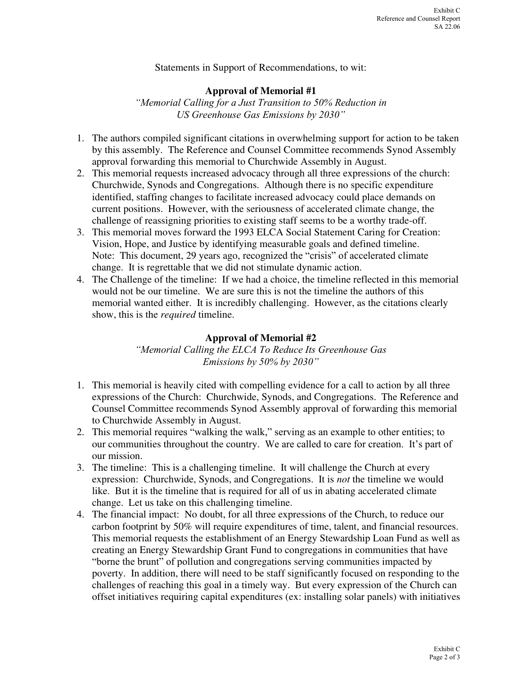#### Statements in Support of Recommendations, to wit:

### **Approval of Memorial #1**

*"Memorial Calling for a Just Transition to 50% Reduction in US Greenhouse Gas Emissions by 2030"*

- 1. The authors compiled significant citations in overwhelming support for action to be taken by this assembly. The Reference and Counsel Committee recommends Synod Assembly approval forwarding this memorial to Churchwide Assembly in August.
- 2. This memorial requests increased advocacy through all three expressions of the church: Churchwide, Synods and Congregations. Although there is no specific expenditure identified, staffing changes to facilitate increased advocacy could place demands on current positions. However, with the seriousness of accelerated climate change, the challenge of reassigning priorities to existing staff seems to be a worthy trade-off.
- 3. This memorial moves forward the 1993 ELCA Social Statement Caring for Creation: Vision, Hope, and Justice by identifying measurable goals and defined timeline. Note: This document, 29 years ago, recognized the "crisis" of accelerated climate change. It is regrettable that we did not stimulate dynamic action.
- 4. The Challenge of the timeline: If we had a choice, the timeline reflected in this memorial would not be our timeline. We are sure this is not the timeline the authors of this memorial wanted either. It is incredibly challenging. However, as the citations clearly show, this is the *required* timeline.

### **Approval of Memorial #2**

*"Memorial Calling the ELCA To Reduce Its Greenhouse Gas Emissions by 50% by 2030"*

- 1. This memorial is heavily cited with compelling evidence for a call to action by all three expressions of the Church: Churchwide, Synods, and Congregations. The Reference and Counsel Committee recommends Synod Assembly approval of forwarding this memorial to Churchwide Assembly in August.
- 2. This memorial requires "walking the walk," serving as an example to other entities; to our communities throughout the country. We are called to care for creation. It's part of our mission.
- 3. The timeline: This is a challenging timeline. It will challenge the Church at every expression: Churchwide, Synods, and Congregations. It is *not* the timeline we would like. But it is the timeline that is required for all of us in abating accelerated climate change. Let us take on this challenging timeline.
- 4. The financial impact: No doubt, for all three expressions of the Church, to reduce our carbon footprint by 50% will require expenditures of time, talent, and financial resources. This memorial requests the establishment of an Energy Stewardship Loan Fund as well as creating an Energy Stewardship Grant Fund to congregations in communities that have "borne the brunt" of pollution and congregations serving communities impacted by poverty. In addition, there will need to be staff significantly focused on responding to the challenges of reaching this goal in a timely way. But every expression of the Church can offset initiatives requiring capital expenditures (ex: installing solar panels) with initiatives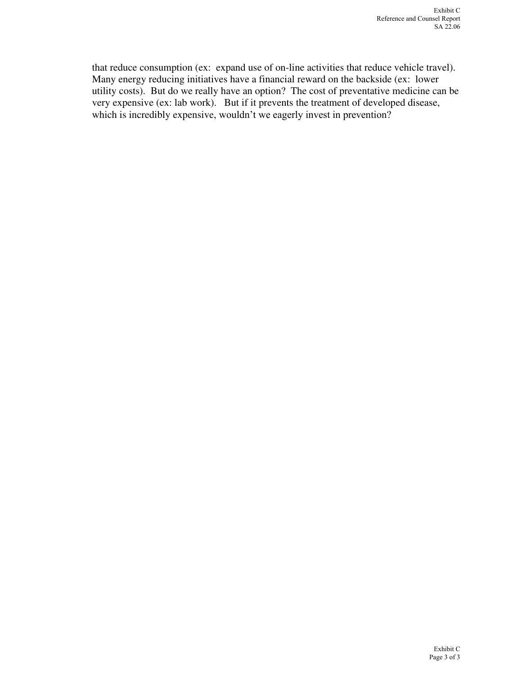that reduce consumption (ex: expand use of on-line activities that reduce vehicle travel). Many energy reducing initiatives have a financial reward on the backside (ex: lower utility costs). But do we really have an option? The cost of preventative medicine can be very expensive (ex: lab work). But if it prevents the treatment of developed disease, which is incredibly expensive, wouldn't we eagerly invest in prevention?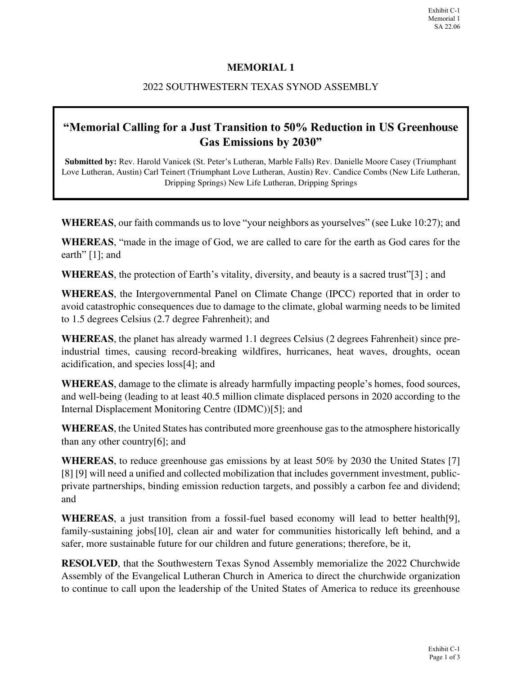# **MEMORIAL 1**

# 2022 SOUTHWESTERN TEXAS SYNOD ASSEMBLY

# **"Memorial Calling for a Just Transition to 50% Reduction in US Greenhouse Gas Emissions by 2030"**

**Submitted by:** Rev. Harold Vanicek (St. Peter's Lutheran, Marble Falls) Rev. Danielle Moore Casey (Triumphant Love Lutheran, Austin) Carl Teinert (Triumphant Love Lutheran, Austin) Rev. Candice Combs (New Life Lutheran, Dripping Springs) New Life Lutheran, Dripping Springs

**WHEREAS**, our faith commands us to love "your neighbors as yourselves" (see Luke 10:27); and

**WHEREAS**, "made in the image of God, we are called to care for the earth as God cares for the earth" [1]; and

**WHEREAS**, the protection of Earth's vitality, diversity, and beauty is a sacred trust"[3] ; and

**WHEREAS**, the Intergovernmental Panel on Climate Change (IPCC) reported that in order to avoid catastrophic consequences due to damage to the climate, global warming needs to be limited to 1.5 degrees Celsius (2.7 degree Fahrenheit); and

**WHEREAS**, the planet has already warmed 1.1 degrees Celsius (2 degrees Fahrenheit) since preindustrial times, causing record-breaking wildfires, hurricanes, heat waves, droughts, ocean acidification, and species loss[4]; and

**WHEREAS**, damage to the climate is already harmfully impacting people's homes, food sources, and well-being (leading to at least 40.5 million climate displaced persons in 2020 according to the Internal Displacement Monitoring Centre (IDMC))[5]; and

**WHEREAS**, the United States has contributed more greenhouse gas to the atmosphere historically than any other country[6]; and

**WHEREAS**, to reduce greenhouse gas emissions by at least 50% by 2030 the United States [7] [8] [9] will need a unified and collected mobilization that includes government investment, publicprivate partnerships, binding emission reduction targets, and possibly a carbon fee and dividend; and

**WHEREAS**, a just transition from a fossil-fuel based economy will lead to better health[9], family-sustaining jobs[10], clean air and water for communities historically left behind, and a safer, more sustainable future for our children and future generations; therefore, be it,

**RESOLVED**, that the Southwestern Texas Synod Assembly memorialize the 2022 Churchwide Assembly of the Evangelical Lutheran Church in America to direct the churchwide organization to continue to call upon the leadership of the United States of America to reduce its greenhouse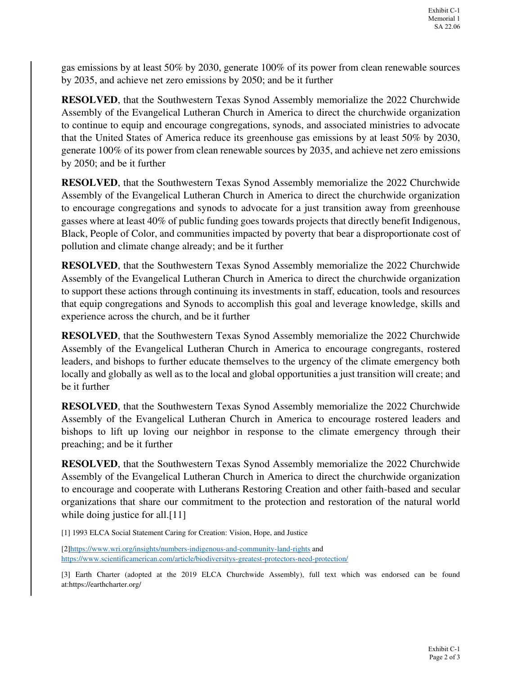gas emissions by at least 50% by 2030, generate 100% of its power from clean renewable sources by 2035, and achieve net zero emissions by 2050; and be it further

**RESOLVED**, that the Southwestern Texas Synod Assembly memorialize the 2022 Churchwide Assembly of the Evangelical Lutheran Church in America to direct the churchwide organization to continue to equip and encourage congregations, synods, and associated ministries to advocate that the United States of America reduce its greenhouse gas emissions by at least 50% by 2030, generate 100% of its power from clean renewable sources by 2035, and achieve net zero emissions by 2050; and be it further

**RESOLVED**, that the Southwestern Texas Synod Assembly memorialize the 2022 Churchwide Assembly of the Evangelical Lutheran Church in America to direct the churchwide organization to encourage congregations and synods to advocate for a just transition away from greenhouse gasses where at least 40% of public funding goes towards projects that directly benefit Indigenous, Black, People of Color, and communities impacted by poverty that bear a disproportionate cost of pollution and climate change already; and be it further

**RESOLVED**, that the Southwestern Texas Synod Assembly memorialize the 2022 Churchwide Assembly of the Evangelical Lutheran Church in America to direct the churchwide organization to support these actions through continuing its investments in staff, education, tools and resources that equip congregations and Synods to accomplish this goal and leverage knowledge, skills and experience across the church, and be it further

**RESOLVED**, that the Southwestern Texas Synod Assembly memorialize the 2022 Churchwide Assembly of the Evangelical Lutheran Church in America to encourage congregants, rostered leaders, and bishops to further educate themselves to the urgency of the climate emergency both locally and globally as well as to the local and global opportunities a just transition will create; and be it further

**RESOLVED**, that the Southwestern Texas Synod Assembly memorialize the 2022 Churchwide Assembly of the Evangelical Lutheran Church in America to encourage rostered leaders and bishops to lift up loving our neighbor in response to the climate emergency through their preaching; and be it further

**RESOLVED**, that the Southwestern Texas Synod Assembly memorialize the 2022 Churchwide Assembly of the Evangelical Lutheran Church in America to direct the churchwide organization to encourage and cooperate with Lutherans Restoring Creation and other faith-based and secular organizations that share our commitment to the protection and restoration of the natural world while doing justice for all.<sup>[11]</sup>

[1] 1993 ELCA Social Statement Caring for Creation: Vision, Hope, and Justice

[2]https://www.wri.org/insights/numbers-indigenous-and-community-land-rights and https://www.scientificamerican.com/article/biodiversitys-greatest-protectors-need-protection/

[3] Earth Charter (adopted at the 2019 ELCA Churchwide Assembly), full text which was endorsed can be found at:https://earthcharter.org/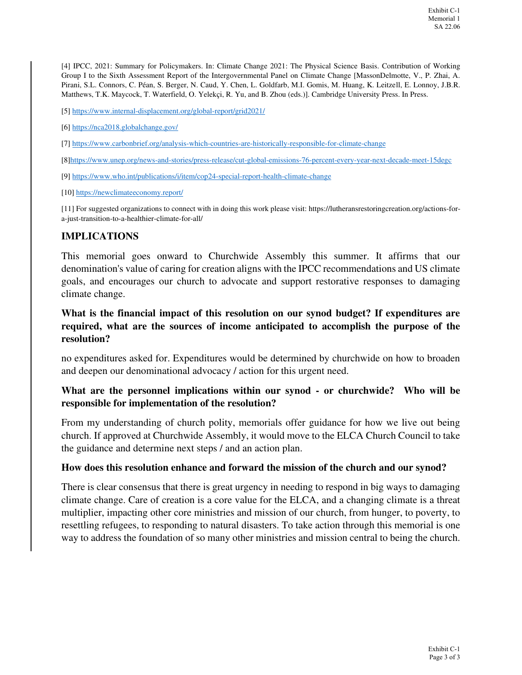[4] IPCC, 2021: Summary for Policymakers. In: Climate Change 2021: The Physical Science Basis. Contribution of Working Group I to the Sixth Assessment Report of the Intergovernmental Panel on Climate Change [MassonDelmotte, V., P. Zhai, A. Pirani, S.L. Connors, C. Péan, S. Berger, N. Caud, Y. Chen, L. Goldfarb, M.I. Gomis, M. Huang, K. Leitzell, E. Lonnoy, J.B.R. Matthews, T.K. Maycock, T. Waterfield, O. Yelekçi, R. Yu, and B. Zhou (eds.)]. Cambridge University Press. In Press.

[5] https://www.internal-displacement.org/global-report/grid2021/

[6] https://nca2018.globalchange.gov/

[7] https://www.carbonbrief.org/analysis-which-countries-are-historically-responsible-for-climate-change

[8]https://www.unep.org/news-and-stories/press-release/cut-global-emissions-76-percent-every-year-next-decade-meet-15degc

[9] https://www.who.int/publications/i/item/cop24-special-report-health-climate-change

[10] https://newclimateeconomy.report/

[11] For suggested organizations to connect with in doing this work please visit: https://lutheransrestoringcreation.org/actions-fora-just-transition-to-a-healthier-climate-for-all/

#### **IMPLICATIONS**

This memorial goes onward to Churchwide Assembly this summer. It affirms that our denomination's value of caring for creation aligns with the IPCC recommendations and US climate goals, and encourages our church to advocate and support restorative responses to damaging climate change.

## **What is the financial impact of this resolution on our synod budget? If expenditures are required, what are the sources of income anticipated to accomplish the purpose of the resolution?**

no expenditures asked for. Expenditures would be determined by churchwide on how to broaden and deepen our denominational advocacy / action for this urgent need.

# **What are the personnel implications within our synod - or churchwide? Who will be responsible for implementation of the resolution?**

From my understanding of church polity, memorials offer guidance for how we live out being church. If approved at Churchwide Assembly, it would move to the ELCA Church Council to take the guidance and determine next steps / and an action plan.

#### **How does this resolution enhance and forward the mission of the church and our synod?**

There is clear consensus that there is great urgency in needing to respond in big ways to damaging climate change. Care of creation is a core value for the ELCA, and a changing climate is a threat multiplier, impacting other core ministries and mission of our church, from hunger, to poverty, to resettling refugees, to responding to natural disasters. To take action through this memorial is one way to address the foundation of so many other ministries and mission central to being the church.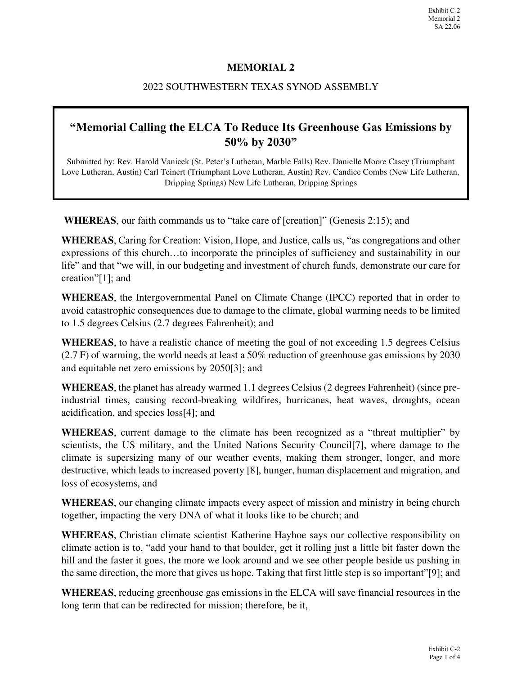# **MEMORIAL 2**

## 2022 SOUTHWESTERN TEXAS SYNOD ASSEMBLY

# **"Memorial Calling the ELCA To Reduce Its Greenhouse Gas Emissions by 50% by 2030"**

Submitted by: Rev. Harold Vanicek (St. Peter's Lutheran, Marble Falls) Rev. Danielle Moore Casey (Triumphant Love Lutheran, Austin) Carl Teinert (Triumphant Love Lutheran, Austin) Rev. Candice Combs (New Life Lutheran, Dripping Springs) New Life Lutheran, Dripping Springs

**WHEREAS**, our faith commands us to "take care of [creation]" (Genesis 2:15); and

**WHEREAS**, Caring for Creation: Vision, Hope, and Justice, calls us, "as congregations and other expressions of this church…to incorporate the principles of sufficiency and sustainability in our life" and that "we will, in our budgeting and investment of church funds, demonstrate our care for creation"[1]; and

**WHEREAS**, the Intergovernmental Panel on Climate Change (IPCC) reported that in order to avoid catastrophic consequences due to damage to the climate, global warming needs to be limited to 1.5 degrees Celsius (2.7 degrees Fahrenheit); and

**WHEREAS**, to have a realistic chance of meeting the goal of not exceeding 1.5 degrees Celsius (2.7 F) of warming, the world needs at least a 50% reduction of greenhouse gas emissions by 2030 and equitable net zero emissions by 2050[3]; and

**WHEREAS**, the planet has already warmed 1.1 degrees Celsius (2 degrees Fahrenheit) (since preindustrial times, causing record-breaking wildfires, hurricanes, heat waves, droughts, ocean acidification, and species loss[4]; and

**WHEREAS**, current damage to the climate has been recognized as a "threat multiplier" by scientists, the US military, and the United Nations Security Council[7], where damage to the climate is supersizing many of our weather events, making them stronger, longer, and more destructive, which leads to increased poverty [8], hunger, human displacement and migration, and loss of ecosystems, and

**WHEREAS**, our changing climate impacts every aspect of mission and ministry in being church together, impacting the very DNA of what it looks like to be church; and

**WHEREAS**, Christian climate scientist Katherine Hayhoe says our collective responsibility on climate action is to, "add your hand to that boulder, get it rolling just a little bit faster down the hill and the faster it goes, the more we look around and we see other people beside us pushing in the same direction, the more that gives us hope. Taking that first little step is so important"[9]; and

**WHEREAS**, reducing greenhouse gas emissions in the ELCA will save financial resources in the long term that can be redirected for mission; therefore, be it,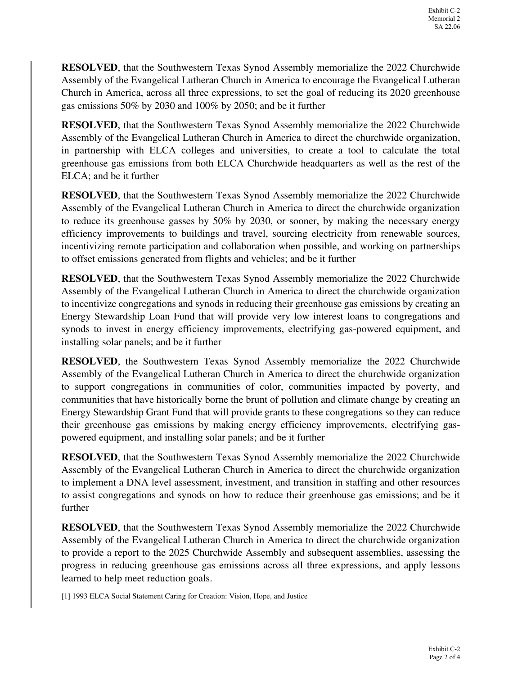**RESOLVED**, that the Southwestern Texas Synod Assembly memorialize the 2022 Churchwide Assembly of the Evangelical Lutheran Church in America to encourage the Evangelical Lutheran Church in America, across all three expressions, to set the goal of reducing its 2020 greenhouse gas emissions 50% by 2030 and 100% by 2050; and be it further

**RESOLVED**, that the Southwestern Texas Synod Assembly memorialize the 2022 Churchwide Assembly of the Evangelical Lutheran Church in America to direct the churchwide organization, in partnership with ELCA colleges and universities, to create a tool to calculate the total greenhouse gas emissions from both ELCA Churchwide headquarters as well as the rest of the ELCA; and be it further

**RESOLVED**, that the Southwestern Texas Synod Assembly memorialize the 2022 Churchwide Assembly of the Evangelical Lutheran Church in America to direct the churchwide organization to reduce its greenhouse gasses by 50% by 2030, or sooner, by making the necessary energy efficiency improvements to buildings and travel, sourcing electricity from renewable sources, incentivizing remote participation and collaboration when possible, and working on partnerships to offset emissions generated from flights and vehicles; and be it further

**RESOLVED**, that the Southwestern Texas Synod Assembly memorialize the 2022 Churchwide Assembly of the Evangelical Lutheran Church in America to direct the churchwide organization to incentivize congregations and synods in reducing their greenhouse gas emissions by creating an Energy Stewardship Loan Fund that will provide very low interest loans to congregations and synods to invest in energy efficiency improvements, electrifying gas-powered equipment, and installing solar panels; and be it further

**RESOLVED**, the Southwestern Texas Synod Assembly memorialize the 2022 Churchwide Assembly of the Evangelical Lutheran Church in America to direct the churchwide organization to support congregations in communities of color, communities impacted by poverty, and communities that have historically borne the brunt of pollution and climate change by creating an Energy Stewardship Grant Fund that will provide grants to these congregations so they can reduce their greenhouse gas emissions by making energy efficiency improvements, electrifying gaspowered equipment, and installing solar panels; and be it further

**RESOLVED**, that the Southwestern Texas Synod Assembly memorialize the 2022 Churchwide Assembly of the Evangelical Lutheran Church in America to direct the churchwide organization to implement a DNA level assessment, investment, and transition in staffing and other resources to assist congregations and synods on how to reduce their greenhouse gas emissions; and be it further

**RESOLVED**, that the Southwestern Texas Synod Assembly memorialize the 2022 Churchwide Assembly of the Evangelical Lutheran Church in America to direct the churchwide organization to provide a report to the 2025 Churchwide Assembly and subsequent assemblies, assessing the progress in reducing greenhouse gas emissions across all three expressions, and apply lessons learned to help meet reduction goals.

[1] 1993 ELCA Social Statement Caring for Creation: Vision, Hope, and Justice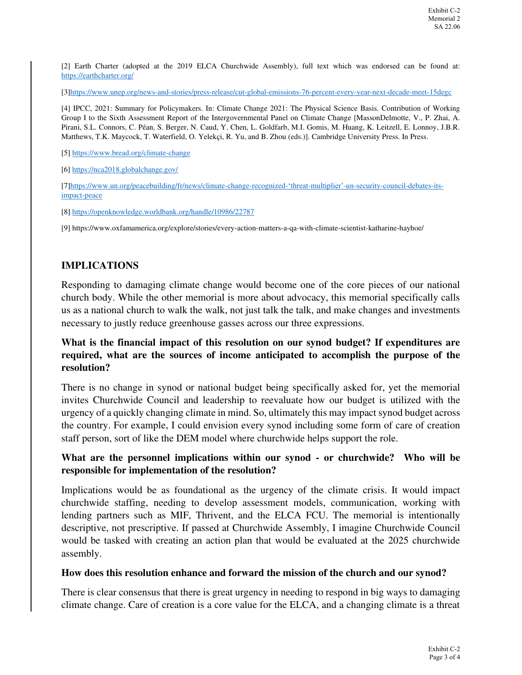[2] Earth Charter (adopted at the 2019 ELCA Churchwide Assembly), full text which was endorsed can be found at: https://earthcharter.org/

[3]https://www.unep.org/news-and-stories/press-release/cut-global-emissions-76-percent-every-year-next-decade-meet-15degc

[4] IPCC, 2021: Summary for Policymakers. In: Climate Change 2021: The Physical Science Basis. Contribution of Working Group I to the Sixth Assessment Report of the Intergovernmental Panel on Climate Change [MassonDelmotte, V., P. Zhai, A. Pirani, S.L. Connors, C. Péan, S. Berger, N. Caud, Y. Chen, L. Goldfarb, M.I. Gomis, M. Huang, K. Leitzell, E. Lonnoy, J.B.R. Matthews, T.K. Maycock, T. Waterfield, O. Yelekçi, R. Yu, and B. Zhou (eds.)]. Cambridge University Press. In Press.

[5] https://www.bread.org/climate-change

[6] https://nca2018.globalchange.gov/

[7]https://www.un.org/peacebuilding/fr/news/climate-change-recognized-'threat-multiplier'-un-security-council-debates-itsimpact-peace

[8] https://openknowledge.worldbank.org/handle/10986/22787

[9] https://www.oxfamamerica.org/explore/stories/every-action-matters-a-qa-with-climate-scientist-katharine-hayhoe/

# **IMPLICATIONS**

Responding to damaging climate change would become one of the core pieces of our national church body. While the other memorial is more about advocacy, this memorial specifically calls us as a national church to walk the walk, not just talk the talk, and make changes and investments necessary to justly reduce greenhouse gasses across our three expressions.

# **What is the financial impact of this resolution on our synod budget? If expenditures are required, what are the sources of income anticipated to accomplish the purpose of the resolution?**

There is no change in synod or national budget being specifically asked for, yet the memorial invites Churchwide Council and leadership to reevaluate how our budget is utilized with the urgency of a quickly changing climate in mind. So, ultimately this may impact synod budget across the country. For example, I could envision every synod including some form of care of creation staff person, sort of like the DEM model where churchwide helps support the role.

### **What are the personnel implications within our synod - or churchwide? Who will be responsible for implementation of the resolution?**

Implications would be as foundational as the urgency of the climate crisis. It would impact churchwide staffing, needing to develop assessment models, communication, working with lending partners such as MIF, Thrivent, and the ELCA FCU. The memorial is intentionally descriptive, not prescriptive. If passed at Churchwide Assembly, I imagine Churchwide Council would be tasked with creating an action plan that would be evaluated at the 2025 churchwide assembly.

#### **How does this resolution enhance and forward the mission of the church and our synod?**

There is clear consensus that there is great urgency in needing to respond in big ways to damaging climate change. Care of creation is a core value for the ELCA, and a changing climate is a threat